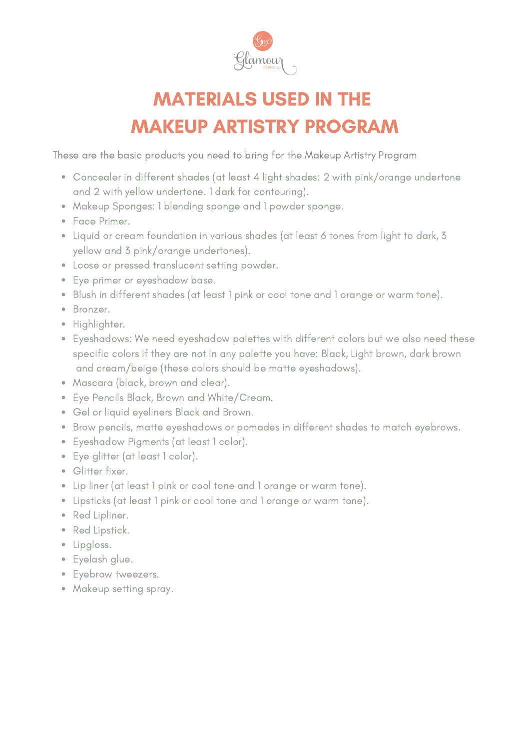

## MATERIALS USED IN THE MAKEUP ARTISTRY PROGRAM

These are the basic [products](http://bit.ly/2rJRIyn) you need to bring for the Makeup Artistry Program

- Concealer in different shades (at least 4 light shades: 2 with pink/orange undertone and 2 with yellow undertone. 1 dark for contouring).
- Makeup Sponges: 1 blending sponge and 1 powder sponge.
- Face Primer.
- Liquid or cream foundation in various shades (at least 6 tones from light to dark, 3 yellow and 3 pink/orange undertones).
- Loose or pressed translucent setting powder.
- Eye primer or eyeshadow base.
- Blush in different shades (at least 1 pink or cool tone and 1 orange or warm tone).
- Bronzer.
- Highlighter.
- Eyeshadows: We need eyeshadow palettes with different colors but we also need these specific colors if they are not in any palette you have: Black, Light brown, dark brown and cream/beige (these colors should be matte eyeshadows).
- Mascara (black, brown and clear).
- Eye Pencils Black, Brown and White/Cream.
- Gel or liquid eyeliners Black and Brown.
- Brow pencils, matte eyeshadows or pomades in different shades to match eyebrows.
- Eyeshadow Pigments (at least 1 color).
- Eye glitter (at least 1 color).
- Glitter fixer.
- Lip liner (at least 1 pink or cool tone and 1 orange or warm tone).
- Lipsticks (at least 1 pink or cool tone and 1 orange or warm tone).
- Red Lipliner.
- Red Lipstick.
- Lipgloss.
- Eyelash glue.
- Eyebrow tweezers.
- Makeup setting spray.